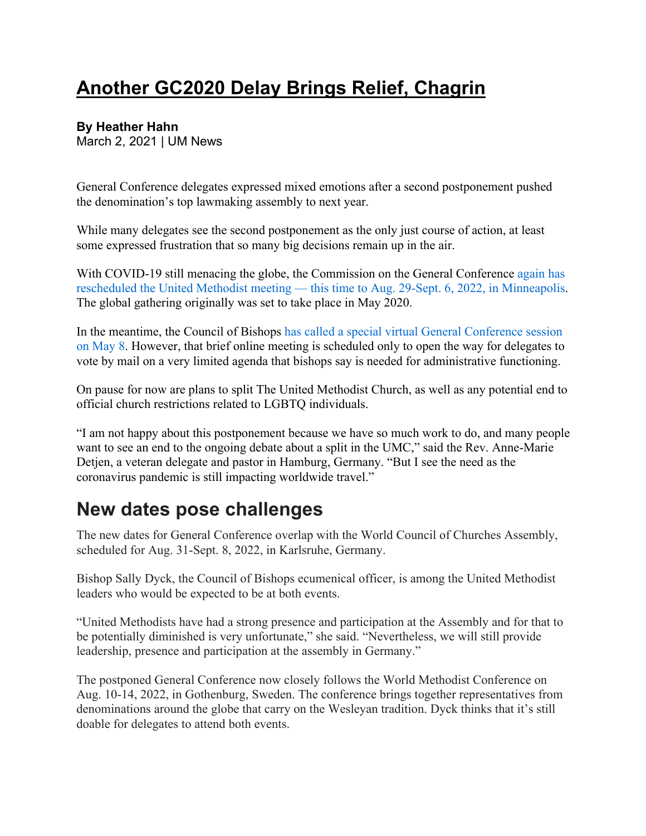## **Another GC2020 Delay Brings Relief, Chagrin**

## **By Heather Hahn**

March 2, 2021 | UM News

General Conference delegates expressed mixed emotions after a second postponement pushed the denomination's top lawmaking assembly to next year.

While many delegates see the second postponement as the only just course of action, at least some expressed frustration that so many big decisions remain up in the air.

With COVID-19 still menacing the globe, the Commission on the General Conference again has rescheduled the United Methodist meeting — this time to Aug. 29-Sept. 6, 2022, in Minneapolis. The global gathering originally was set to take place in May 2020.

In the meantime, the Council of Bishops has called a special virtual General Conference session on May 8. However, that brief online meeting is scheduled only to open the way for delegates to vote by mail on a very limited agenda that bishops say is needed for administrative functioning.

On pause for now are plans to split The United Methodist Church, as well as any potential end to official church restrictions related to LGBTQ individuals.

"I am not happy about this postponement because we have so much work to do, and many people want to see an end to the ongoing debate about a split in the UMC," said the Rev. Anne-Marie Detjen, a veteran delegate and pastor in Hamburg, Germany. "But I see the need as the coronavirus pandemic is still impacting worldwide travel."

## **New dates pose challenges**

The new dates for General Conference overlap with the World Council of Churches Assembly, scheduled for Aug. 31-Sept. 8, 2022, in Karlsruhe, Germany.

Bishop Sally Dyck, the Council of Bishops ecumenical officer, is among the United Methodist leaders who would be expected to be at both events.

"United Methodists have had a strong presence and participation at the Assembly and for that to be potentially diminished is very unfortunate," she said. "Nevertheless, we will still provide leadership, presence and participation at the assembly in Germany."

The postponed General Conference now closely follows the World Methodist Conference on Aug. 10-14, 2022, in Gothenburg, Sweden. The conference brings together representatives from denominations around the globe that carry on the Wesleyan tradition. Dyck thinks that it's still doable for delegates to attend both events.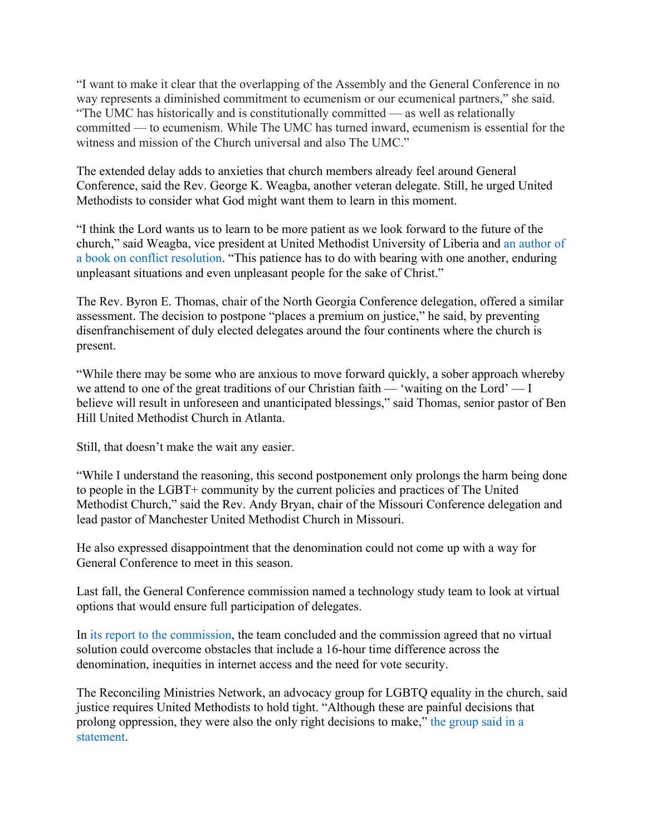"I want to make it clear that the overlapping of the Assembly and the General Conference in no way represents a diminished commitment to ecumenism or our ecumenical partners," she said. "The UMC has historically and is constitutionally committed — as well as relationally committed — to ecumenism. While The UMC has turned inward, ecumenism is essential for the witness and mission of the Church universal and also The UMC."

The extended delay adds to anxieties that church members already feel around General Conference, said the Rev. George K. Weagba, another veteran delegate. Still, he urged United Methodists to consider what God might want them to learn in this moment.

"I think the Lord wants us to learn to be more patient as we look forward to the future of the church," said Weagba, vice president at United Methodist University of Liberia and an author of a book on conflict resolution. "This patience has to do with bearing with one another, enduring unpleasant situations and even unpleasant people for the sake of Christ."

The Rev. Byron E. Thomas, chair of the North Georgia Conference delegation, offered a similar assessment. The decision to postpone "places a premium on justice," he said, by preventing disenfranchisement of duly elected delegates around the four continents where the church is present.

"While there may be some who are anxious to move forward quickly, a sober approach whereby we attend to one of the great traditions of our Christian faith — 'waiting on the Lord' — I believe will result in unforeseen and unanticipated blessings," said Thomas, senior pastor of Ben Hill United Methodist Church in Atlanta.

Still, that doesn't make the wait any easier.

"While I understand the reasoning, this second postponement only prolongs the harm being done to people in the LGBT+ community by the current policies and practices of The United Methodist Church," said the Rev. Andy Bryan, chair of the Missouri Conference delegation and lead pastor of Manchester United Methodist Church in Missouri.

He also expressed disappointment that the denomination could not come up with a way for General Conference to meet in this season.

Last fall, the General Conference commission named a technology study team to look at virtual options that would ensure full participation of delegates.

In its report to the commission, the team concluded and the commission agreed that no virtual solution could overcome obstacles that include a 16-hour time difference across the denomination, inequities in internet access and the need for vote security.

The Reconciling Ministries Network, an advocacy group for LGBTQ equality in the church, said justice requires United Methodists to hold tight. "Although these are painful decisions that prolong oppression, they were also the only right decisions to make," the group said in a statement.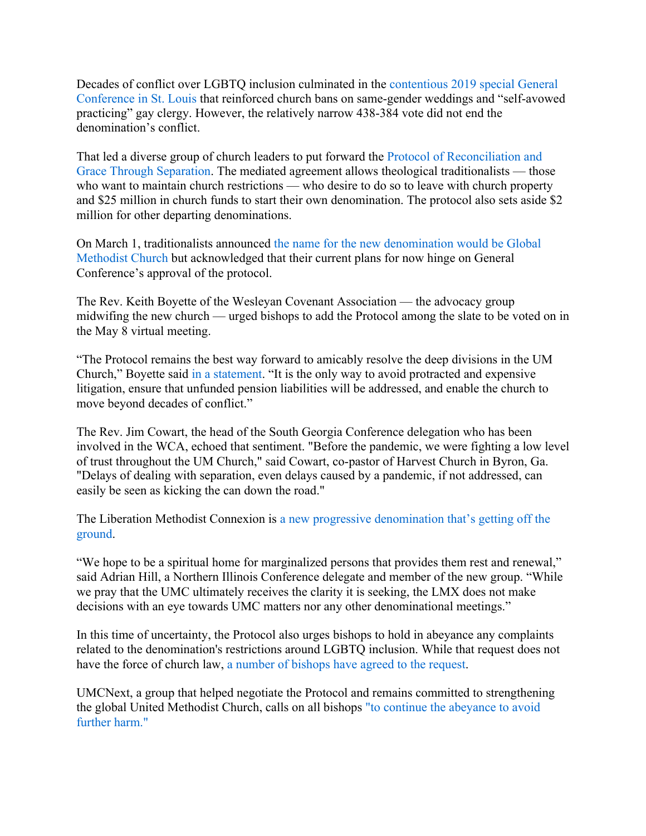Decades of conflict over LGBTQ inclusion culminated in the contentious 2019 special General Conference in St. Louis that reinforced church bans on same-gender weddings and "self-avowed practicing" gay clergy. However, the relatively narrow 438-384 vote did not end the denomination's conflict.

That led a diverse group of church leaders to put forward the Protocol of Reconciliation and Grace Through Separation. The mediated agreement allows theological traditionalists — those who want to maintain church restrictions — who desire to do so to leave with church property and \$25 million in church funds to start their own denomination. The protocol also sets aside \$2 million for other departing denominations.

On March 1, traditionalists announced the name for the new denomination would be Global Methodist Church but acknowledged that their current plans for now hinge on General Conference's approval of the protocol.

The Rev. Keith Boyette of the Wesleyan Covenant Association — the advocacy group midwifing the new church — urged bishops to add the Protocol among the slate to be voted on in the May 8 virtual meeting.

"The Protocol remains the best way forward to amicably resolve the deep divisions in the UM Church," Boyette said in a statement. "It is the only way to avoid protracted and expensive litigation, ensure that unfunded pension liabilities will be addressed, and enable the church to move beyond decades of conflict."

The Rev. Jim Cowart, the head of the South Georgia Conference delegation who has been involved in the WCA, echoed that sentiment. "Before the pandemic, we were fighting a low level of trust throughout the UM Church," said Cowart, co-pastor of Harvest Church in Byron, Ga. "Delays of dealing with separation, even delays caused by a pandemic, if not addressed, can easily be seen as kicking the can down the road."

The Liberation Methodist Connexion is a new progressive denomination that's getting off the ground.

"We hope to be a spiritual home for marginalized persons that provides them rest and renewal," said Adrian Hill, a Northern Illinois Conference delegate and member of the new group. "While we pray that the UMC ultimately receives the clarity it is seeking, the LMX does not make decisions with an eye towards UMC matters nor any other denominational meetings."

In this time of uncertainty, the Protocol also urges bishops to hold in abeyance any complaints related to the denomination's restrictions around LGBTQ inclusion. While that request does not have the force of church law, a number of bishops have agreed to the request.

UMCNext, a group that helped negotiate the Protocol and remains committed to strengthening the global United Methodist Church, calls on all bishops "to continue the abeyance to avoid further harm."